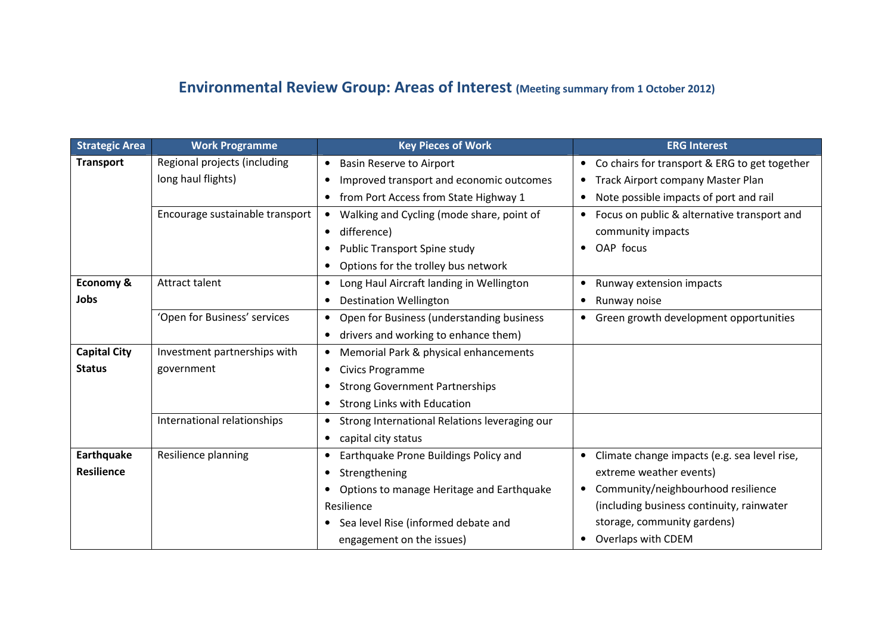## Environmental Review Group: Areas of Interest (Meeting summary from 1 October 2012)

| <b>Strategic Area</b> | <b>Work Programme</b>           | <b>Key Pieces of Work</b>                              | <b>ERG Interest</b>                                        |
|-----------------------|---------------------------------|--------------------------------------------------------|------------------------------------------------------------|
| <b>Transport</b>      | Regional projects (including    | <b>Basin Reserve to Airport</b><br>٠                   | Co chairs for transport & ERG to get together<br>$\bullet$ |
|                       | long haul flights)              | Improved transport and economic outcomes<br>$\bullet$  | Track Airport company Master Plan<br>$\bullet$             |
|                       |                                 | from Port Access from State Highway 1                  | Note possible impacts of port and rail<br>$\bullet$        |
|                       | Encourage sustainable transport | Walking and Cycling (mode share, point of              | Focus on public & alternative transport and<br>$\bullet$   |
|                       |                                 | difference)                                            | community impacts                                          |
|                       |                                 | Public Transport Spine study<br>٠                      | OAP focus<br>$\bullet$                                     |
|                       |                                 | Options for the trolley bus network<br>$\bullet$       |                                                            |
| Economy &             | Attract talent                  | Long Haul Aircraft landing in Wellington<br>$\bullet$  | Runway extension impacts<br>$\bullet$                      |
| Jobs                  |                                 | <b>Destination Wellington</b><br>$\bullet$             | Runway noise<br>$\bullet$                                  |
|                       | 'Open for Business' services    | Open for Business (understanding business              | • Green growth development opportunities                   |
|                       |                                 | drivers and working to enhance them)<br>$\bullet$      |                                                            |
| <b>Capital City</b>   | Investment partnerships with    | Memorial Park & physical enhancements<br>$\bullet$     |                                                            |
| <b>Status</b>         | government                      | Civics Programme<br>٠                                  |                                                            |
|                       |                                 | <b>Strong Government Partnerships</b>                  |                                                            |
|                       |                                 | Strong Links with Education                            |                                                            |
|                       | International relationships     | Strong International Relations leveraging our          |                                                            |
|                       |                                 | capital city status<br>$\bullet$                       |                                                            |
| Earthquake            | Resilience planning             | Earthquake Prone Buildings Policy and                  | Climate change impacts (e.g. sea level rise,               |
| <b>Resilience</b>     |                                 | Strengthening<br>٠                                     | extreme weather events)                                    |
|                       |                                 | Options to manage Heritage and Earthquake<br>$\bullet$ | Community/neighbourhood resilience<br>$\bullet$            |
|                       |                                 | Resilience                                             | (including business continuity, rainwater                  |
|                       |                                 | Sea level Rise (informed debate and<br>$\bullet$       | storage, community gardens)                                |
|                       |                                 | engagement on the issues)                              | Overlaps with CDEM                                         |